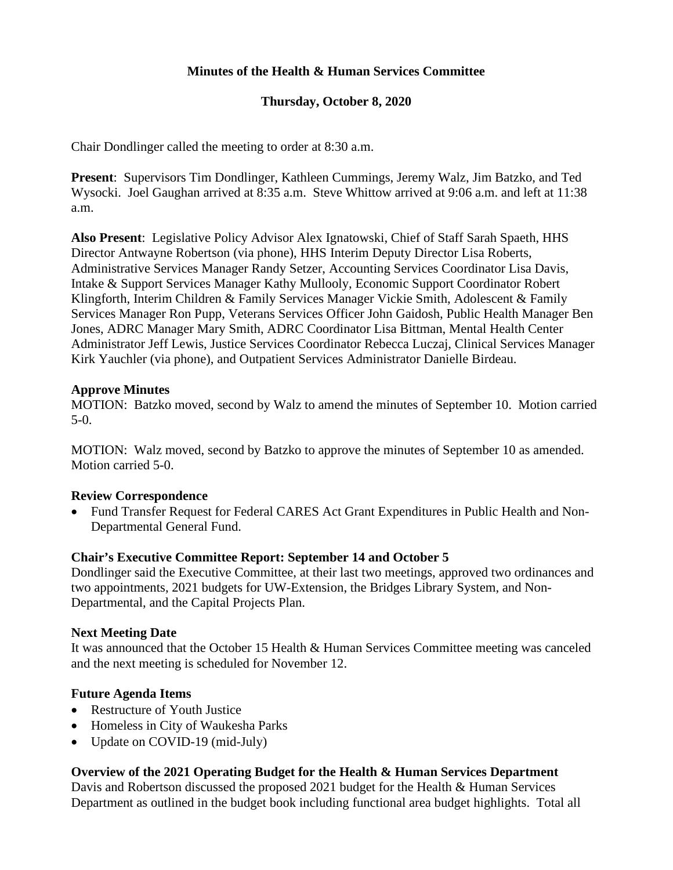# **Minutes of the Health & Human Services Committee**

# **Thursday, October 8, 2020**

Chair Dondlinger called the meeting to order at 8:30 a.m.

**Present**: Supervisors Tim Dondlinger, Kathleen Cummings, Jeremy Walz, Jim Batzko, and Ted Wysocki. Joel Gaughan arrived at 8:35 a.m. Steve Whittow arrived at 9:06 a.m. and left at 11:38 a.m.

**Also Present**: Legislative Policy Advisor Alex Ignatowski, Chief of Staff Sarah Spaeth, HHS Director Antwayne Robertson (via phone), HHS Interim Deputy Director Lisa Roberts, Administrative Services Manager Randy Setzer, Accounting Services Coordinator Lisa Davis, Intake & Support Services Manager Kathy Mullooly, Economic Support Coordinator Robert Klingforth, Interim Children & Family Services Manager Vickie Smith, Adolescent & Family Services Manager Ron Pupp, Veterans Services Officer John Gaidosh, Public Health Manager Ben Jones, ADRC Manager Mary Smith, ADRC Coordinator Lisa Bittman, Mental Health Center Administrator Jeff Lewis, Justice Services Coordinator Rebecca Luczaj, Clinical Services Manager Kirk Yauchler (via phone), and Outpatient Services Administrator Danielle Birdeau.

### **Approve Minutes**

MOTION: Batzko moved, second by Walz to amend the minutes of September 10. Motion carried 5-0.

MOTION: Walz moved, second by Batzko to approve the minutes of September 10 as amended. Motion carried 5-0.

# **Review Correspondence**

• Fund Transfer Request for Federal CARES Act Grant Expenditures in Public Health and Non-Departmental General Fund.

# **Chair's Executive Committee Report: September 14 and October 5**

Dondlinger said the Executive Committee, at their last two meetings, approved two ordinances and two appointments, 2021 budgets for UW-Extension, the Bridges Library System, and Non-Departmental, and the Capital Projects Plan.

#### **Next Meeting Date**

It was announced that the October 15 Health & Human Services Committee meeting was canceled and the next meeting is scheduled for November 12.

# **Future Agenda Items**

- Restructure of Youth Justice
- Homeless in City of Waukesha Parks
- Update on COVID-19 (mid-July)

# **Overview of the 2021 Operating Budget for the Health & Human Services Department**

Davis and Robertson discussed the proposed 2021 budget for the Health & Human Services Department as outlined in the budget book including functional area budget highlights. Total all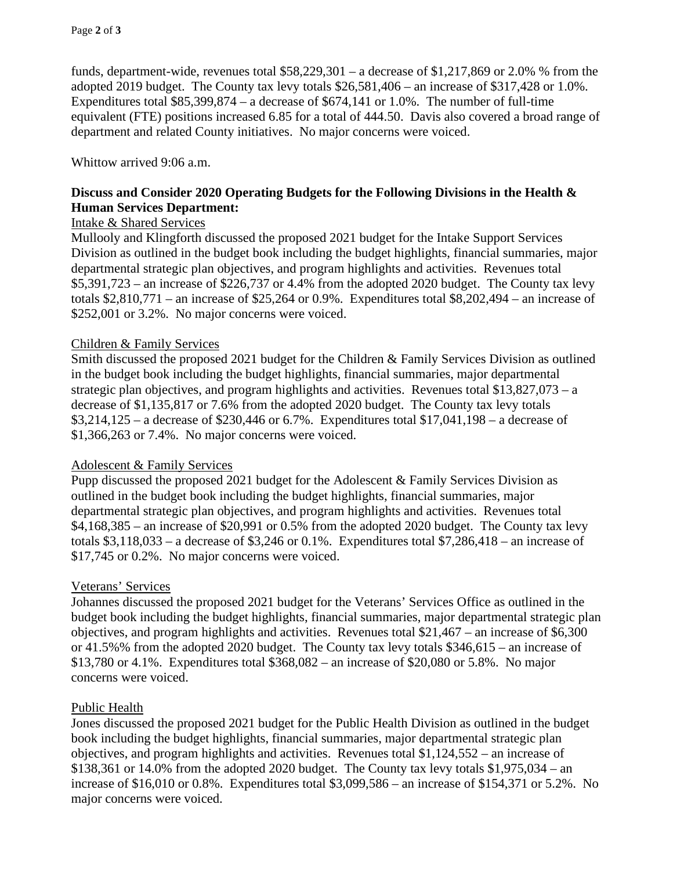funds, department-wide, revenues total \$58,229,301 – a decrease of \$1,217,869 or 2.0% % from the adopted 2019 budget. The County tax levy totals \$26,581,406 – an increase of \$317,428 or 1.0%. Expenditures total  $$85,399,874 - a$  decrease of  $$674,141$  or 1.0%. The number of full-time equivalent (FTE) positions increased 6.85 for a total of 444.50. Davis also covered a broad range of department and related County initiatives. No major concerns were voiced.

#### Whittow arrived 9:06 a.m.

# **Discuss and Consider 2020 Operating Budgets for the Following Divisions in the Health & Human Services Department:**

## Intake & Shared Services

Mullooly and Klingforth discussed the proposed 2021 budget for the Intake Support Services Division as outlined in the budget book including the budget highlights, financial summaries, major departmental strategic plan objectives, and program highlights and activities. Revenues total \$5,391,723 – an increase of \$226,737 or 4.4% from the adopted 2020 budget. The County tax levy totals  $$2,810,771$  – an increase of  $$25,264$  or 0.9%. Expenditures total  $$8,202,494$  – an increase of \$252,001 or 3.2%. No major concerns were voiced.

### Children & Family Services

Smith discussed the proposed 2021 budget for the Children & Family Services Division as outlined in the budget book including the budget highlights, financial summaries, major departmental strategic plan objectives, and program highlights and activities. Revenues total  $$13,827,073 - a$ decrease of \$1,135,817 or 7.6% from the adopted 2020 budget. The County tax levy totals \$3,214,125 – a decrease of \$230,446 or 6.7%. Expenditures total \$17,041,198 – a decrease of \$1,366,263 or 7.4%. No major concerns were voiced.

#### Adolescent & Family Services

Pupp discussed the proposed 2021 budget for the Adolescent & Family Services Division as outlined in the budget book including the budget highlights, financial summaries, major departmental strategic plan objectives, and program highlights and activities. Revenues total \$4,168,385 – an increase of \$20,991 or 0.5% from the adopted 2020 budget. The County tax levy totals  $$3,118,033 - a$  decrease of  $$3,246$  or 0.1%. Expenditures total  $$7,286,418 - an$  increase of \$17,745 or 0.2%. No major concerns were voiced.

#### Veterans' Services

Johannes discussed the proposed 2021 budget for the Veterans' Services Office as outlined in the budget book including the budget highlights, financial summaries, major departmental strategic plan objectives, and program highlights and activities. Revenues total  $$21,467$  – an increase of  $$6,300$ or 41.5%% from the adopted 2020 budget. The County tax levy totals \$346,615 – an increase of \$13,780 or 4.1%. Expenditures total \$368,082 – an increase of \$20,080 or 5.8%. No major concerns were voiced.

#### Public Health

Jones discussed the proposed 2021 budget for the Public Health Division as outlined in the budget book including the budget highlights, financial summaries, major departmental strategic plan objectives, and program highlights and activities. Revenues total \$1,124,552 – an increase of  $$138,361$  or  $14.0\%$  from the adopted 2020 budget. The County tax levy totals  $$1,975,034 - an$ increase of \$16,010 or 0.8%. Expenditures total \$3,099,586 – an increase of \$154,371 or 5.2%. No major concerns were voiced.